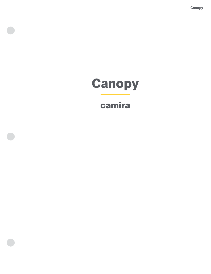**Canopy**

# **Canopy**

# camira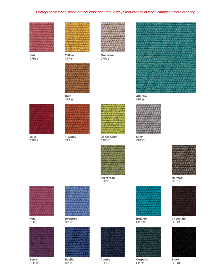# Photographic fabric scans are not color accurate. Always request actual fabric samples before ordering.

Pink CPP33



Yellow CPP<sub>34</sub>



Mushroom CPP35



CPP<sub>36</sub>



Tulip CPP25





**Tigerlily** CPP11



Gooseberry CPP07



CPP08



Petal CPP01



Berry CPP03



Dewdrop CPP05



Pacific CPP39



Admiral CPP40



Atlantic CPP38



CPP<sub>37</sub>



Evergreen



Botanic CPP06



**Corporal** CPP41



Nutmeg CPP12



Chocolate CPP24



Black CPP31